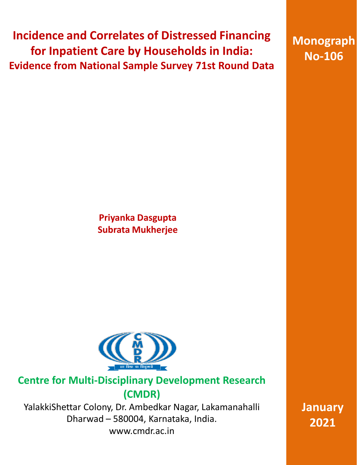**Incidence and Correlates of Distressed Financing for Inpatient Care by Households in India: Evidence from National Sample Survey 71st Round Data**

**Monograph No-106**

**Priyanka Dasgupta Subrata Mukherjee**



## **Centre for Multi-Disciplinary Development Research (CMDR)**

YalakkiShettar Colony, Dr. Ambedkar Nagar, Lakamanahalli Dharwad – 580004, Karnataka, India. [www.cmdr.ac.in](http://www.cmdr.ac.in)

**January 2021**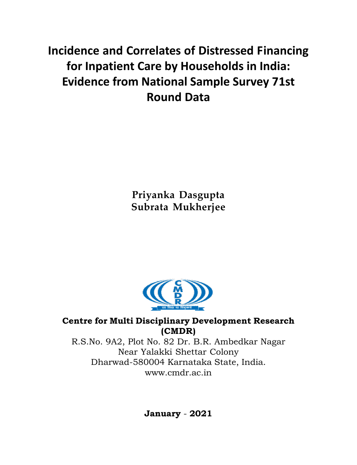# **Incidence and Correlates of Distressed Financing for Inpatient Care by Households in India: Evidence from National Sample Survey 71st Round Data**

**Priyanka Dasgupta Subrata Mukherjee**



## **Centre for Multi Disciplinary Development Research (CMDR)**

R.S.No. 9A2, Plot No. 82 Dr. B.R. Ambedkar Nagar Near Yalakki Shettar Colony Dharwad-580004 Karnataka State, India. [www.cmdr.ac.in](http://www.cmdr.ac.in)

**January** - **2021**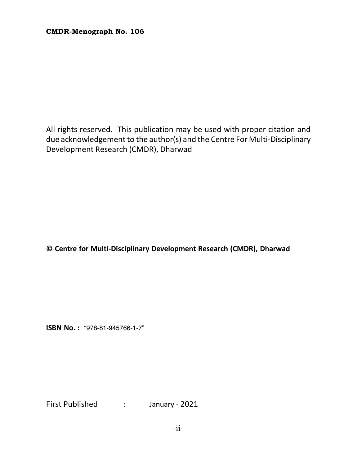All rights reserved. This publication may be used with proper citation and due acknowledgement to the author(s) and the Centre For Multi-Disciplinary Development Research (CMDR), Dharwad

**© Centre for Multi-Disciplinary Development Research (CMDR), Dharwad**

**ISBN No. : "978-81-945766-1-7"**

First Published : January - 2021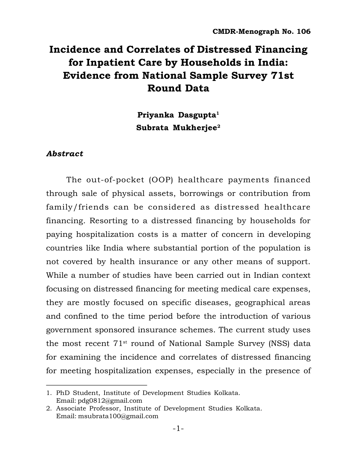## **Incidence and Correlates of Distressed Financing for Inpatient Care by Households in India: Evidence from National Sample Survey 71st Round Data**

**Priyanka Dasgupta<sup>1</sup> Subrata Mukherjee<sup>2</sup>**

## *Abstract*

The out-of-pocket (OOP) healthcare payments financed through sale of physical assets, borrowings or contribution from family/friends can be considered as distressed healthcare financing. Resorting to a distressed financing by households for paying hospitalization costs is a matter of concern in developing countries like India where substantial portion of the population is not covered by health insurance or any other means of support. While a number of studies have been carried out in Indian context focusing on distressed financing for meeting medical care expenses, they are mostly focused on specific diseases, geographical areas and confined to the time period before the introduction of various government sponsored insurance schemes. The current study uses the most recent 71st round of National Sample Survey (NSS) data for examining the incidence and correlates of distressed financing for meeting hospitalization expenses, especially in the presence of

<sup>1.</sup> PhD Student, Institute of Development Studies Kolkata. Email: [pdg0812@gmail.com](mailto:pdg0812@gmail.com)

<sup>2.</sup> Associate Professor, Institute of Development Studies Kolkata. Email: [msubrata100@gmail.com](mailto:msubrata100@gmail.com)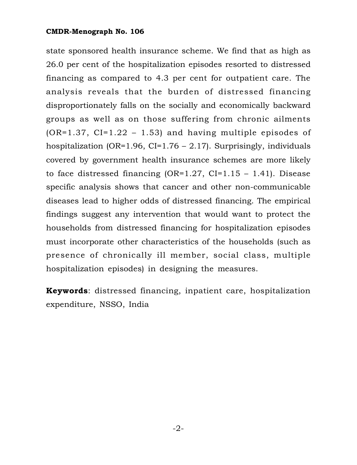state sponsored health insurance scheme. We find that as high as 26.0 per cent of the hospitalization episodes resorted to distressed financing as compared to 4.3 per cent for outpatient care. The analysis reveals that the burden of distressed financing disproportionately falls on the socially and economically backward groups as well as on those suffering from chronic ailments  $(OR=1.37, CI=1.22 - 1.53)$  and having multiple episodes of hospitalization (OR=1.96, CI=1.76 – 2.17). Surprisingly, individuals covered by government health insurance schemes are more likely to face distressed financing  $(OR=1.27, CI=1.15 - 1.41)$ . Disease specific analysis shows that cancer and other non-communicable diseases lead to higher odds of distressed financing. The empirical findings suggest any intervention that would want to protect the households from distressed financing for hospitalization episodes must incorporate other characteristics of the households (such as presence of chronically ill member, social class, multiple hospitalization episodes) in designing the measures.

**Keywords**: distressed financing, inpatient care, hospitalization expenditure, NSSO, India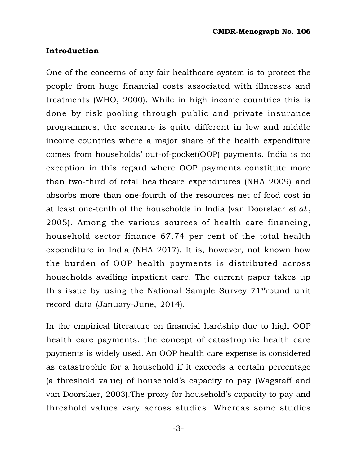## **Introduction**

One of the concerns of any fair healthcare system is to protect the people from huge financial costs associated with illnesses and treatments (WHO, 2000). While in high income countries this is done by risk pooling through public and private insurance programmes, the scenario is quite different in low and middle income countries where a major share of the health expenditure comes from households' out-of-pocket(OOP) payments. India is no exception in this regard where OOP payments constitute more than two-third of total healthcare expenditures (NHA 2009) and absorbs more than one-fourth of the resources net of food cost in at least one-tenth of the households in India (van Doorslaer *et al*., 2005). Among the various sources of health care financing, household sector finance 67.74 per cent of the total health expenditure in India (NHA 2017). It is, however, not known how the burden of OOP health payments is distributed across households availing inpatient care. The current paper takes up this issue by using the National Sample Survey  $71<sup>st</sup>$ round unit record data (January-June, 2014).

In the empirical literature on financial hardship due to high OOP health care payments, the concept of catastrophic health care payments is widely used. An OOP health care expense is considered as catastrophic for a household if it exceeds a certain percentage (a threshold value) of household's capacity to pay (Wagstaff and van Doorslaer, 2003).The proxy for household's capacity to pay and threshold values vary across studies. Whereas some studies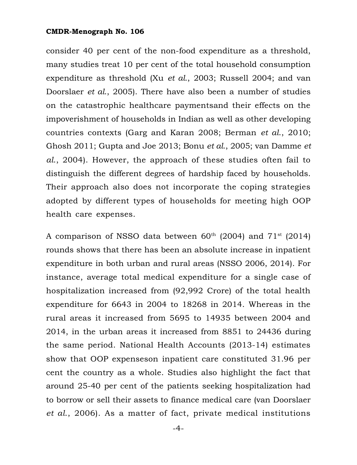consider 40 per cent of the non-food expenditure as a threshold, many studies treat 10 per cent of the total household consumption expenditure as threshold (Xu *et al*., 2003; Russell 2004; and van Doorslaer *et al*., 2005). There have also been a number of studies on the catastrophic healthcare paymentsand their effects on the impoverishment of households in Indian as well as other developing countries contexts (Garg and Karan 2008; Berman *et al*., 2010; Ghosh 2011; Gupta and Joe 2013; Bonu *et al*., 2005; van Damme *et al*., 2004). However, the approach of these studies often fail to distinguish the different degrees of hardship faced by households. Their approach also does not incorporate the coping strategies adopted by different types of households for meeting high OOP health care expenses.

A comparison of NSSO data between  $60<sup>th</sup>$  (2004) and  $71<sup>st</sup>$  (2014) rounds shows that there has been an absolute increase in inpatient expenditure in both urban and rural areas (NSSO 2006, 2014). For instance, average total medical expenditure for a single case of hospitalization increased from (92,992 Crore) of the total health expenditure for 6643 in 2004 to 18268 in 2014. Whereas in the rural areas it increased from 5695 to 14935 between 2004 and 2014, in the urban areas it increased from 8851 to 24436 during the same period. National Health Accounts (2013-14) estimates show that OOP expenseson inpatient care constituted 31.96 per cent the country as a whole. Studies also highlight the fact that around 25-40 per cent of the patients seeking hospitalization had to borrow or sell their assets to finance medical care (van Doorslaer *et al*., 2006). As a matter of fact, private medical institutions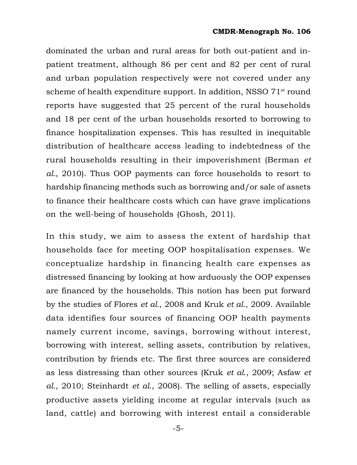dominated the urban and rural areas for both out-patient and inpatient treatment, although 86 per cent and 82 per cent of rural and urban population respectively were not covered under any scheme of health expenditure support. In addition, NSSO 71<sup>st</sup> round reports have suggested that 25 percent of the rural households and 18 per cent of the urban households resorted to borrowing to finance hospitalization expenses. This has resulted in inequitable distribution of healthcare access leading to indebtedness of the rural households resulting in their impoverishment (Berman *et al*., 2010). Thus OOP payments can force households to resort to hardship financing methods such as borrowing and/or sale of assets to finance their healthcare costs which can have grave implications on the well-being of households (Ghosh, 2011).

In this study, we aim to assess the extent of hardship that households face for meeting OOP hospitalisation expenses. We conceptualize hardship in financing health care expenses as distressed financing by looking at how arduously the OOP expenses are financed by the households. This notion has been put forward by the studies of Flores *et al.,* 2008 and Kruk *et al*., 2009. Available data identifies four sources of financing OOP health payments namely current income, savings, borrowing without interest, borrowing with interest, selling assets, contribution by relatives, contribution by friends etc. The first three sources are considered as less distressing than other sources (Kruk *et al*., 2009; Asfaw *et al*., 2010; Steinhardt *et al*., 2008). The selling of assets, especially productive assets yielding income at regular intervals (such as land, cattle) and borrowing with interest entail a considerable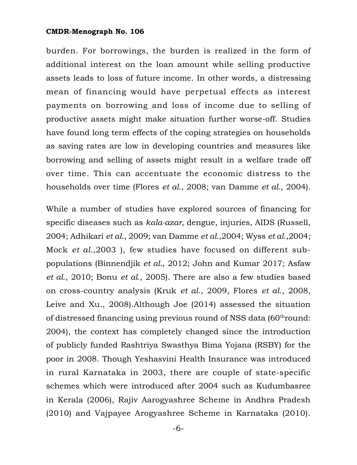burden. For borrowings, the burden is realized in the form of additional interest on the loan amount while selling productive assets leads to loss of future income. In other words, a distressing mean of financing would have perpetual effects as interest payments on borrowing and loss of income due to selling of productive assets might make situation further worse-off. Studies have found long term effects of the coping strategies on households as saving rates are low in developing countries and measures like borrowing and selling of assets might result in a welfare trade off over time. This can accentuate the economic distress to the households over time (Flores *et al*., 2008; van Damme *et al*., 2004).

While a number of studies have explored sources of financing for specific diseases such as *kala-azar*, dengue, injuries, AIDS (Russell, 2004; Adhikari *et al*., 2009; van Damme *et al*.,2004; Wyss *et al*.,2004; Mock *et al*.,2003 ), few studies have focused on different subpopulations (Binnendjik *et al.,* 2012; John and Kumar 2017; Asfaw *et al*., 2010; Bonu *et al*., 2005). There are also a few studies based on cross-country analysis (Kruk *et al*., 2009, Flores *et al*., 2008, Leive and Xu., 2008).Although Joe (2014) assessed the situation of distressed financing using previous round of NSS data (60<sup>th</sup>round: 2004), the context has completely changed since the introduction of publicly funded Rashtriya Swasthya Bima Yojana (RSBY) for the poor in 2008. Though Yeshasvini Health Insurance was introduced in rural Karnataka in 2003, there are couple of state-specific schemes which were introduced after 2004 such as Kudumbasree in Kerala (2006), Rajiv Aarogyashree Scheme in Andhra Pradesh (2010) and Vajpayee Arogyashree Scheme in Karnataka (2010).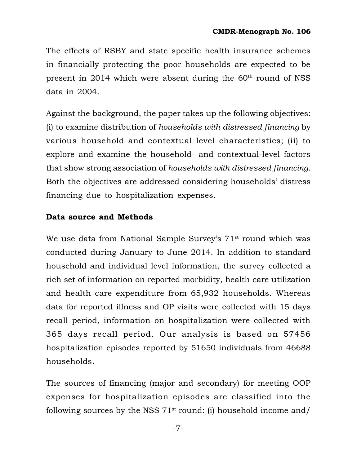The effects of RSBY and state specific health insurance schemes in financially protecting the poor households are expected to be present in 2014 which were absent during the  $60<sup>th</sup>$  round of NSS data in 2004.

Against the background, the paper takes up the following objectives: (i) to examine distribution of *households with distressed financing* by various household and contextual level characteristics; (ii) to explore and examine the household- and contextual-level factors that show strong association of *households with distressed financing*. Both the objectives are addressed considering households' distress financing due to hospitalization expenses.

## **Data source and Methods**

We use data from National Sample Survey's 71<sup>st</sup> round which was conducted during January to June 2014. In addition to standard household and individual level information, the survey collected a rich set of information on reported morbidity, health care utilization and health care expenditure from 65,932 households. Whereas data for reported illness and OP visits were collected with 15 days recall period, information on hospitalization were collected with 365 days recall period. Our analysis is based on 57456 hospitalization episodes reported by 51650 individuals from 46688 households.

The sources of financing (major and secondary) for meeting OOP expenses for hospitalization episodes are classified into the following sources by the NSS  $71^{st}$  round: (i) household income and/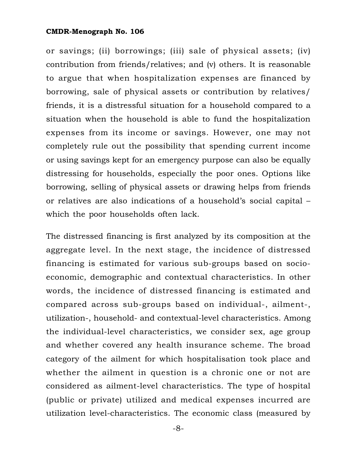or savings; (ii) borrowings; (iii) sale of physical assets; (iv) contribution from friends/relatives; and (v) others. It is reasonable to argue that when hospitalization expenses are financed by borrowing, sale of physical assets or contribution by relatives/ friends, it is a distressful situation for a household compared to a situation when the household is able to fund the hospitalization expenses from its income or savings. However, one may not completely rule out the possibility that spending current income or using savings kept for an emergency purpose can also be equally distressing for households, especially the poor ones. Options like borrowing, selling of physical assets or drawing helps from friends or relatives are also indications of a household's social capital – which the poor households often lack.

The distressed financing is first analyzed by its composition at the aggregate level. In the next stage, the incidence of distressed financing is estimated for various sub-groups based on socioeconomic, demographic and contextual characteristics. In other words, the incidence of distressed financing is estimated and compared across sub-groups based on individual-, ailment-, utilization-, household- and contextual-level characteristics. Among the individual-level characteristics, we consider sex, age group and whether covered any health insurance scheme. The broad category of the ailment for which hospitalisation took place and whether the ailment in question is a chronic one or not are considered as ailment-level characteristics. The type of hospital (public or private) utilized and medical expenses incurred are utilization level-characteristics. The economic class (measured by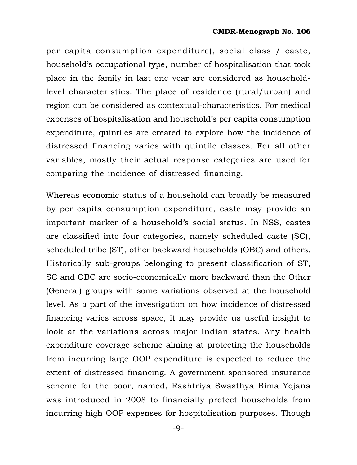per capita consumption expenditure), social class / caste, household's occupational type, number of hospitalisation that took place in the family in last one year are considered as householdlevel characteristics. The place of residence (rural/urban) and region can be considered as contextual-characteristics. For medical expenses of hospitalisation and household's per capita consumption expenditure, quintiles are created to explore how the incidence of distressed financing varies with quintile classes. For all other variables, mostly their actual response categories are used for comparing the incidence of distressed financing.

Whereas economic status of a household can broadly be measured by per capita consumption expenditure, caste may provide an important marker of a household's social status. In NSS, castes are classified into four categories, namely scheduled caste (SC), scheduled tribe (ST), other backward households (OBC) and others. Historically sub-groups belonging to present classification of ST, SC and OBC are socio-economically more backward than the Other (General) groups with some variations observed at the household level. As a part of the investigation on how incidence of distressed financing varies across space, it may provide us useful insight to look at the variations across major Indian states. Any health expenditure coverage scheme aiming at protecting the households from incurring large OOP expenditure is expected to reduce the extent of distressed financing. A government sponsored insurance scheme for the poor, named, Rashtriya Swasthya Bima Yojana was introduced in 2008 to financially protect households from incurring high OOP expenses for hospitalisation purposes. Though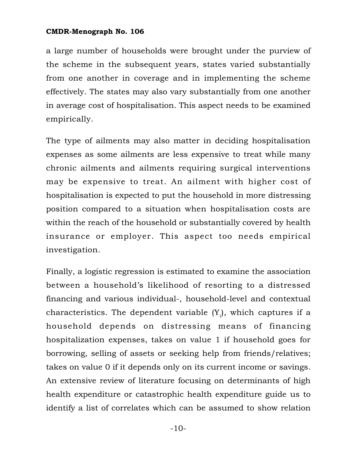a large number of households were brought under the purview of the scheme in the subsequent years, states varied substantially from one another in coverage and in implementing the scheme effectively. The states may also vary substantially from one another in average cost of hospitalisation. This aspect needs to be examined empirically.

The type of ailments may also matter in deciding hospitalisation expenses as some ailments are less expensive to treat while many chronic ailments and ailments requiring surgical interventions may be expensive to treat. An ailment with higher cost of hospitalisation is expected to put the household in more distressing position compared to a situation when hospitalisation costs are within the reach of the household or substantially covered by health insurance or employer. This aspect too needs empirical investigation.

Finally, a logistic regression is estimated to examine the association between a household's likelihood of resorting to a distressed financing and various individual-, household-level and contextual characteristics. The dependent variable  $(\text{Y}_\text{i})$ , which captures if a household depends on distressing means of financing hospitalization expenses, takes on value 1 if household goes for borrowing, selling of assets or seeking help from friends/relatives; takes on value 0 if it depends only on its current income or savings. An extensive review of literature focusing on determinants of high health expenditure or catastrophic health expenditure guide us to identify a list of correlates which can be assumed to show relation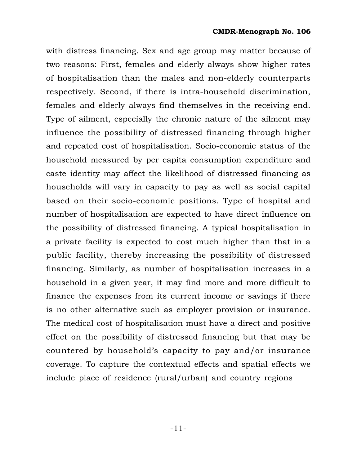with distress financing. Sex and age group may matter because of two reasons: First, females and elderly always show higher rates of hospitalisation than the males and non-elderly counterparts respectively. Second, if there is intra-household discrimination, females and elderly always find themselves in the receiving end. Type of ailment, especially the chronic nature of the ailment may influence the possibility of distressed financing through higher and repeated cost of hospitalisation. Socio-economic status of the household measured by per capita consumption expenditure and caste identity may affect the likelihood of distressed financing as households will vary in capacity to pay as well as social capital based on their socio-economic positions. Type of hospital and number of hospitalisation are expected to have direct influence on the possibility of distressed financing. A typical hospitalisation in a private facility is expected to cost much higher than that in a public facility, thereby increasing the possibility of distressed financing. Similarly, as number of hospitalisation increases in a household in a given year, it may find more and more difficult to finance the expenses from its current income or savings if there is no other alternative such as employer provision or insurance. The medical cost of hospitalisation must have a direct and positive effect on the possibility of distressed financing but that may be countered by household's capacity to pay and/or insurance coverage. To capture the contextual effects and spatial effects we include place of residence (rural/urban) and country regions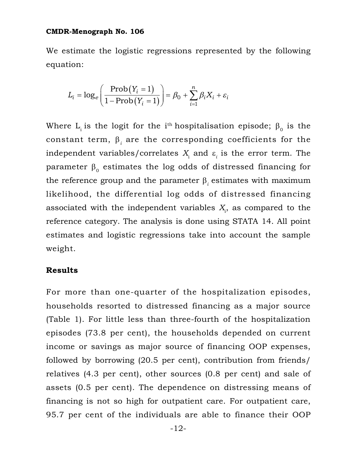We estimate the logistic regressions represented by the following equation:

$$
L_i = \log_e \left( \frac{\text{Prob}(Y_i = 1)}{1 - \text{Prob}(Y_i = 1)} \right) = \beta_0 + \sum_{i=1}^n \beta_i X_i + \varepsilon_i
$$

Where  $\mathrm{L}_{\mathrm{i}}$  is the logit for the i $^{\mathrm{th}}$  hospitalisation episode;  $\boldsymbol{\beta}_{0}$  is the constant term,  $\boldsymbol{\beta}_i$  are the corresponding coefficients for the independent variables/correlates  $X_{\!\!_{\rm i}}$  and  $\varepsilon_{\!\!_{\rm i}}$  is the error term. The parameter  $\boldsymbol{\beta}_{0}$  estimates the log odds of distressed financing for the reference group and the parameter  $\boldsymbol{\beta}_i$  estimates with maximum likelihood, the differential log odds of distressed financing associated with the independent variables  $X_{\rm i}$ , as compared to the reference category. The analysis is done using STATA 14. All point estimates and logistic regressions take into account the sample weight.

## **Results**

For more than one-quarter of the hospitalization episodes, households resorted to distressed financing as a major source (Table 1). For little less than three-fourth of the hospitalization episodes (73.8 per cent), the households depended on current income or savings as major source of financing OOP expenses, followed by borrowing (20.5 per cent), contribution from friends/ relatives (4.3 per cent), other sources (0.8 per cent) and sale of assets (0.5 per cent). The dependence on distressing means of financing is not so high for outpatient care. For outpatient care, 95.7 per cent of the individuals are able to finance their OOP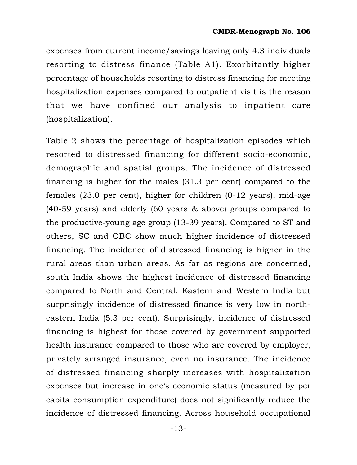expenses from current income/savings leaving only 4.3 individuals resorting to distress finance (Table A1). Exorbitantly higher percentage of households resorting to distress financing for meeting hospitalization expenses compared to outpatient visit is the reason that we have confined our analysis to inpatient care (hospitalization).

Table 2 shows the percentage of hospitalization episodes which resorted to distressed financing for different socio-economic, demographic and spatial groups. The incidence of distressed financing is higher for the males (31.3 per cent) compared to the females (23.0 per cent), higher for children (0-12 years), mid-age (40-59 years) and elderly (60 years & above) groups compared to the productive-young age group (13-39 years). Compared to ST and others, SC and OBC show much higher incidence of distressed financing. The incidence of distressed financing is higher in the rural areas than urban areas. As far as regions are concerned, south India shows the highest incidence of distressed financing compared to North and Central, Eastern and Western India but surprisingly incidence of distressed finance is very low in northeastern India (5.3 per cent). Surprisingly, incidence of distressed financing is highest for those covered by government supported health insurance compared to those who are covered by employer, privately arranged insurance, even no insurance. The incidence of distressed financing sharply increases with hospitalization expenses but increase in one's economic status (measured by per capita consumption expenditure) does not significantly reduce the incidence of distressed financing. Across household occupational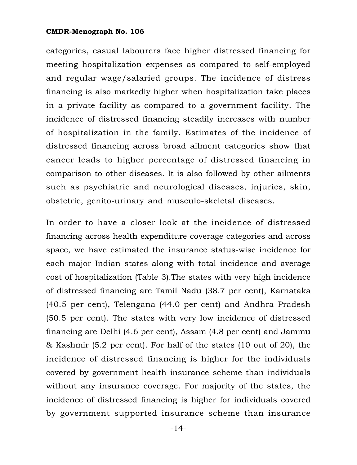categories, casual labourers face higher distressed financing for meeting hospitalization expenses as compared to self-employed and regular wage/salaried groups. The incidence of distress financing is also markedly higher when hospitalization take places in a private facility as compared to a government facility. The incidence of distressed financing steadily increases with number of hospitalization in the family. Estimates of the incidence of distressed financing across broad ailment categories show that cancer leads to higher percentage of distressed financing in comparison to other diseases. It is also followed by other ailments such as psychiatric and neurological diseases, injuries, skin, obstetric, genito-urinary and musculo-skeletal diseases.

In order to have a closer look at the incidence of distressed financing across health expenditure coverage categories and across space, we have estimated the insurance status-wise incidence for each major Indian states along with total incidence and average cost of hospitalization (Table 3).The states with very high incidence of distressed financing are Tamil Nadu (38.7 per cent), Karnataka (40.5 per cent), Telengana (44.0 per cent) and Andhra Pradesh (50.5 per cent). The states with very low incidence of distressed financing are Delhi (4.6 per cent), Assam (4.8 per cent) and Jammu & Kashmir (5.2 per cent). For half of the states (10 out of 20), the incidence of distressed financing is higher for the individuals covered by government health insurance scheme than individuals without any insurance coverage. For majority of the states, the incidence of distressed financing is higher for individuals covered by government supported insurance scheme than insurance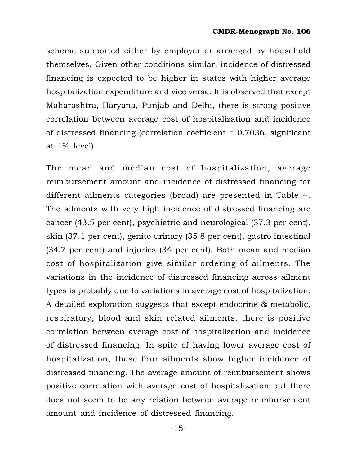scheme supported either by employer or arranged by household themselves. Given other conditions similar, incidence of distressed financing is expected to be higher in states with higher average hospitalization expenditure and vice versa. It is observed that except Maharashtra, Haryana, Punjab and Delhi, there is strong positive correlation between average cost of hospitalization and incidence of distressed financing (correlation coefficient = 0.7036, significant at 1% level).

The mean and median cost of hospitalization, average reimbursement amount and incidence of distressed financing for different ailments categories (broad) are presented in Table 4. The ailments with very high incidence of distressed financing are cancer (43.5 per cent), psychiatric and neurological (37.3 per cent), skin (37.1 per cent), genito urinary (35.8 per cent), gastro intestinal (34.7 per cent) and injuries (34 per cent). Both mean and median cost of hospitalization give similar ordering of ailments. The variations in the incidence of distressed financing across ailment types is probably due to variations in average cost of hospitalization. A detailed exploration suggests that except endocrine & metabolic, respiratory, blood and skin related ailments, there is positive correlation between average cost of hospitalization and incidence of distressed financing. In spite of having lower average cost of hospitalization, these four ailments show higher incidence of distressed financing. The average amount of reimbursement shows positive correlation with average cost of hospitalization but there does not seem to be any relation between average reimbursement amount and incidence of distressed financing.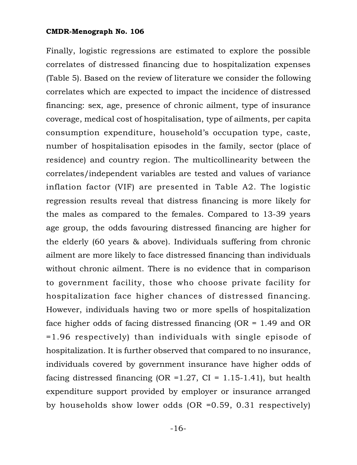Finally, logistic regressions are estimated to explore the possible correlates of distressed financing due to hospitalization expenses (Table 5). Based on the review of literature we consider the following correlates which are expected to impact the incidence of distressed financing: sex, age, presence of chronic ailment, type of insurance coverage, medical cost of hospitalisation, type of ailments, per capita consumption expenditure, household's occupation type, caste, number of hospitalisation episodes in the family, sector (place of residence) and country region. The multicollinearity between the correlates/independent variables are tested and values of variance inflation factor (VIF) are presented in Table A2. The logistic regression results reveal that distress financing is more likely for the males as compared to the females. Compared to 13-39 years age group, the odds favouring distressed financing are higher for the elderly (60 years & above). Individuals suffering from chronic ailment are more likely to face distressed financing than individuals without chronic ailment. There is no evidence that in comparison to government facility, those who choose private facility for hospitalization face higher chances of distressed financing. However, individuals having two or more spells of hospitalization face higher odds of facing distressed financing (OR = 1.49 and OR =1.96 respectively) than individuals with single episode of hospitalization. It is further observed that compared to no insurance, individuals covered by government insurance have higher odds of facing distressed financing (OR = 1.27, CI = 1.15-1.41), but health expenditure support provided by employer or insurance arranged by households show lower odds (OR =0.59, 0.31 respectively)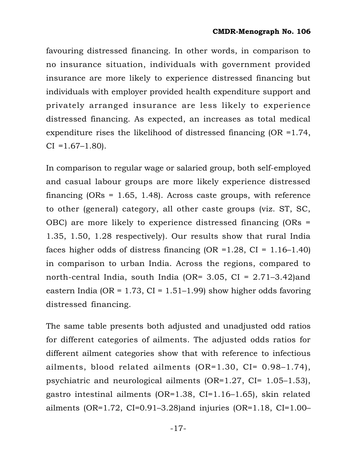favouring distressed financing. In other words, in comparison to no insurance situation, individuals with government provided insurance are more likely to experience distressed financing but individuals with employer provided health expenditure support and privately arranged insurance are less likely to experience distressed financing. As expected, an increases as total medical expenditure rises the likelihood of distressed financing  $(OR = 1.74)$ ,  $CI = 1.67 - 1.80$ .

In comparison to regular wage or salaried group, both self-employed and casual labour groups are more likely experience distressed financing (ORs = 1.65, 1.48). Across caste groups, with reference to other (general) category, all other caste groups (viz. ST, SC, OBC) are more likely to experience distressed financing (ORs = 1.35, 1.50, 1.28 respectively). Our results show that rural India faces higher odds of distress financing  $(OR = 1.28, CI = 1.16-1.40)$ in comparison to urban India. Across the regions, compared to north-central India, south India (OR=  $3.05$ , CI =  $2.71-3.42$ )and eastern India (OR =  $1.73$ , CI =  $1.51-1.99$ ) show higher odds favoring distressed financing.

The same table presents both adjusted and unadjusted odd ratios for different categories of ailments. The adjusted odds ratios for different ailment categories show that with reference to infectious ailments, blood related ailments (OR=1.30, CI= 0.98–1.74), psychiatric and neurological ailments  $(OR=1.27, CI=1.05-1.53)$ , gastro intestinal ailments (OR=1.38, CI=1.16–1.65), skin related ailments (OR=1.72, CI=0.91–3.28)and injuries (OR=1.18, CI=1.00–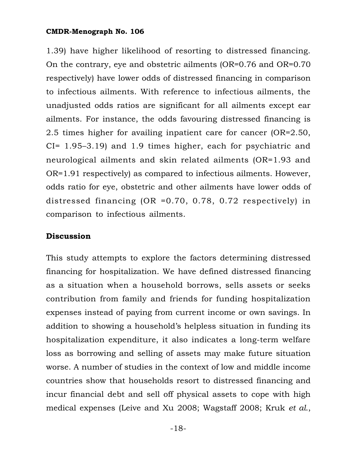1.39) have higher likelihood of resorting to distressed financing. On the contrary, eye and obstetric ailments (OR=0.76 and OR=0.70 respectively) have lower odds of distressed financing in comparison to infectious ailments. With reference to infectious ailments, the unadjusted odds ratios are significant for all ailments except ear ailments. For instance, the odds favouring distressed financing is 2.5 times higher for availing inpatient care for cancer (OR=2.50, CI= 1.95–3.19) and 1.9 times higher, each for psychiatric and neurological ailments and skin related ailments (OR=1.93 and OR=1.91 respectively) as compared to infectious ailments. However, odds ratio for eye, obstetric and other ailments have lower odds of distressed financing (OR =0.70, 0.78, 0.72 respectively) in comparison to infectious ailments.

## **Discussion**

This study attempts to explore the factors determining distressed financing for hospitalization. We have defined distressed financing as a situation when a household borrows, sells assets or seeks contribution from family and friends for funding hospitalization expenses instead of paying from current income or own savings. In addition to showing a household's helpless situation in funding its hospitalization expenditure, it also indicates a long-term welfare loss as borrowing and selling of assets may make future situation worse. A number of studies in the context of low and middle income countries show that households resort to distressed financing and incur financial debt and sell off physical assets to cope with high medical expenses (Leive and Xu 2008; Wagstaff 2008; Kruk *et al*.,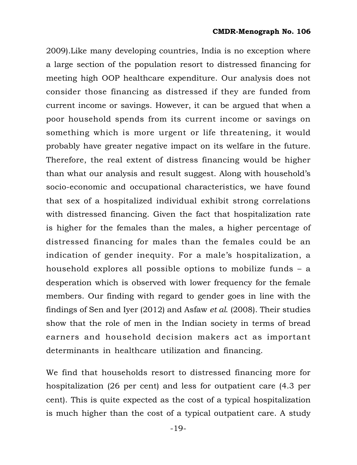2009).Like many developing countries, India is no exception where a large section of the population resort to distressed financing for meeting high OOP healthcare expenditure. Our analysis does not consider those financing as distressed if they are funded from current income or savings. However, it can be argued that when a poor household spends from its current income or savings on something which is more urgent or life threatening, it would probably have greater negative impact on its welfare in the future. Therefore, the real extent of distress financing would be higher than what our analysis and result suggest. Along with household's socio-economic and occupational characteristics, we have found that sex of a hospitalized individual exhibit strong correlations with distressed financing. Given the fact that hospitalization rate is higher for the females than the males, a higher percentage of distressed financing for males than the females could be an indication of gender inequity. For a male's hospitalization, a household explores all possible options to mobilize funds – a desperation which is observed with lower frequency for the female members. Our finding with regard to gender goes in line with the findings of Sen and Iyer (2012) and Asfaw *et al*. (2008). Their studies show that the role of men in the Indian society in terms of bread earners and household decision makers act as important determinants in healthcare utilization and financing.

We find that households resort to distressed financing more for hospitalization (26 per cent) and less for outpatient care (4.3 per cent). This is quite expected as the cost of a typical hospitalization is much higher than the cost of a typical outpatient care. A study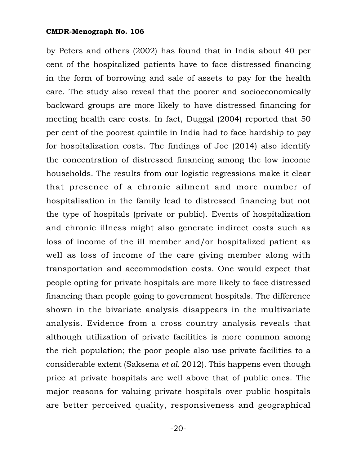by Peters and others (2002) has found that in India about 40 per cent of the hospitalized patients have to face distressed financing in the form of borrowing and sale of assets to pay for the health care. The study also reveal that the poorer and socioeconomically backward groups are more likely to have distressed financing for meeting health care costs. In fact, Duggal (2004) reported that 50 per cent of the poorest quintile in India had to face hardship to pay for hospitalization costs. The findings of Joe (2014) also identify the concentration of distressed financing among the low income households. The results from our logistic regressions make it clear that presence of a chronic ailment and more number of hospitalisation in the family lead to distressed financing but not the type of hospitals (private or public). Events of hospitalization and chronic illness might also generate indirect costs such as loss of income of the ill member and/or hospitalized patient as well as loss of income of the care giving member along with transportation and accommodation costs. One would expect that people opting for private hospitals are more likely to face distressed financing than people going to government hospitals. The difference shown in the bivariate analysis disappears in the multivariate analysis. Evidence from a cross country analysis reveals that although utilization of private facilities is more common among the rich population; the poor people also use private facilities to a considerable extent (Saksena *et al.* 2012). This happens even though price at private hospitals are well above that of public ones. The major reasons for valuing private hospitals over public hospitals are better perceived quality, responsiveness and geographical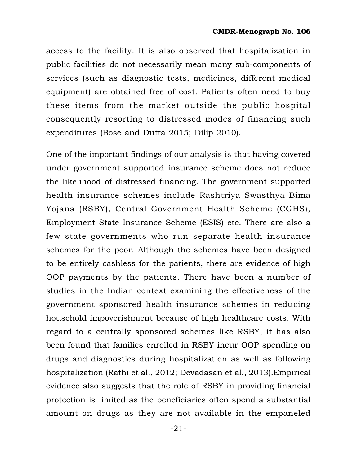access to the facility. It is also observed that hospitalization in public facilities do not necessarily mean many sub-components of services (such as diagnostic tests, medicines, different medical equipment) are obtained free of cost. Patients often need to buy these items from the market outside the public hospital consequently resorting to distressed modes of financing such expenditures (Bose and Dutta 2015; Dilip 2010).

One of the important findings of our analysis is that having covered under government supported insurance scheme does not reduce the likelihood of distressed financing. The government supported health insurance schemes include Rashtriya Swasthya Bima Yojana (RSBY), Central Government Health Scheme (CGHS), Employment State Insurance Scheme (ESIS) etc. There are also a few state governments who run separate health insurance schemes for the poor. Although the schemes have been designed to be entirely cashless for the patients, there are evidence of high OOP payments by the patients. There have been a number of studies in the Indian context examining the effectiveness of the government sponsored health insurance schemes in reducing household impoverishment because of high healthcare costs. With regard to a centrally sponsored schemes like RSBY, it has also been found that families enrolled in RSBY incur OOP spending on drugs and diagnostics during hospitalization as well as following hospitalization (Rathi et al., 2012; Devadasan et al., 2013).Empirical evidence also suggests that the role of RSBY in providing financial protection is limited as the beneficiaries often spend a substantial amount on drugs as they are not available in the empaneled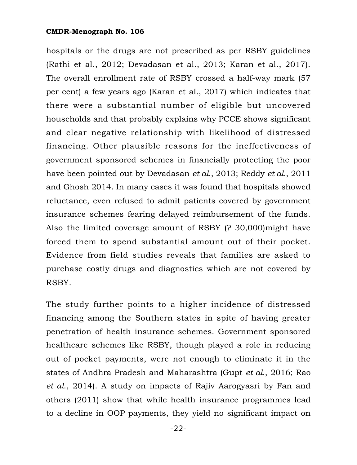hospitals or the drugs are not prescribed as per RSBY guidelines (Rathi et al., 2012; Devadasan et al., 2013; Karan et al., 2017). The overall enrollment rate of RSBY crossed a half-way mark (57 per cent) a few years ago (Karan et al., 2017) which indicates that there were a substantial number of eligible but uncovered households and that probably explains why PCCE shows significant and clear negative relationship with likelihood of distressed financing. Other plausible reasons for the ineffectiveness of government sponsored schemes in financially protecting the poor have been pointed out by Devadasan *et al*., 2013; Reddy *et al*., 2011 and Ghosh 2014. In many cases it was found that hospitals showed reluctance, even refused to admit patients covered by government insurance schemes fearing delayed reimbursement of the funds. Also the limited coverage amount of RSBY (? 30,000)might have forced them to spend substantial amount out of their pocket. Evidence from field studies reveals that families are asked to purchase costly drugs and diagnostics which are not covered by RSBY.

The study further points to a higher incidence of distressed financing among the Southern states in spite of having greater penetration of health insurance schemes. Government sponsored healthcare schemes like RSBY, though played a role in reducing out of pocket payments, were not enough to eliminate it in the states of Andhra Pradesh and Maharashtra (Gupt *et al*., 2016; Rao *et al*., 2014). A study on impacts of Rajiv Aarogyasri by Fan and others (2011) show that while health insurance programmes lead to a decline in OOP payments, they yield no significant impact on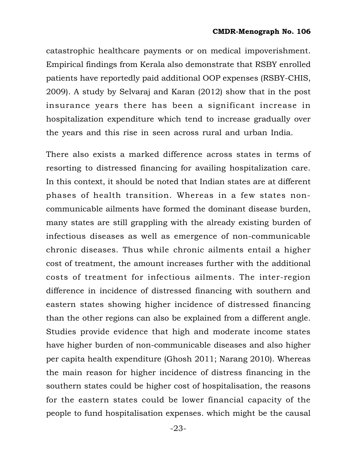catastrophic healthcare payments or on medical impoverishment. Empirical findings from Kerala also demonstrate that RSBY enrolled patients have reportedly paid additional OOP expenses (RSBY-CHIS, 2009). A study by Selvaraj and Karan (2012) show that in the post insurance years there has been a significant increase in hospitalization expenditure which tend to increase gradually over the years and this rise in seen across rural and urban India.

There also exists a marked difference across states in terms of resorting to distressed financing for availing hospitalization care. In this context, it should be noted that Indian states are at different phases of health transition. Whereas in a few states noncommunicable ailments have formed the dominant disease burden, many states are still grappling with the already existing burden of infectious diseases as well as emergence of non-communicable chronic diseases. Thus while chronic ailments entail a higher cost of treatment, the amount increases further with the additional costs of treatment for infectious ailments. The inter-region difference in incidence of distressed financing with southern and eastern states showing higher incidence of distressed financing than the other regions can also be explained from a different angle. Studies provide evidence that high and moderate income states have higher burden of non-communicable diseases and also higher per capita health expenditure (Ghosh 2011; Narang 2010). Whereas the main reason for higher incidence of distress financing in the southern states could be higher cost of hospitalisation, the reasons for the eastern states could be lower financial capacity of the people to fund hospitalisation expenses. which might be the causal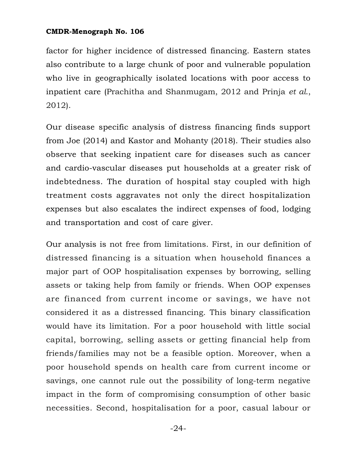factor for higher incidence of distressed financing. Eastern states also contribute to a large chunk of poor and vulnerable population who live in geographically isolated locations with poor access to inpatient care (Prachitha and Shanmugam, 2012 and Prinja *et al*., 2012).

Our disease specific analysis of distress financing finds support from Joe (2014) and Kastor and Mohanty (2018). Their studies also observe that seeking inpatient care for diseases such as cancer and cardio-vascular diseases put households at a greater risk of indebtedness. The duration of hospital stay coupled with high treatment costs aggravates not only the direct hospitalization expenses but also escalates the indirect expenses of food, lodging and transportation and cost of care giver.

Our analysis is not free from limitations. First, in our definition of distressed financing is a situation when household finances a major part of OOP hospitalisation expenses by borrowing, selling assets or taking help from family or friends. When OOP expenses are financed from current income or savings, we have not considered it as a distressed financing. This binary classification would have its limitation. For a poor household with little social capital, borrowing, selling assets or getting financial help from friends/families may not be a feasible option. Moreover, when a poor household spends on health care from current income or savings, one cannot rule out the possibility of long-term negative impact in the form of compromising consumption of other basic necessities. Second, hospitalisation for a poor, casual labour or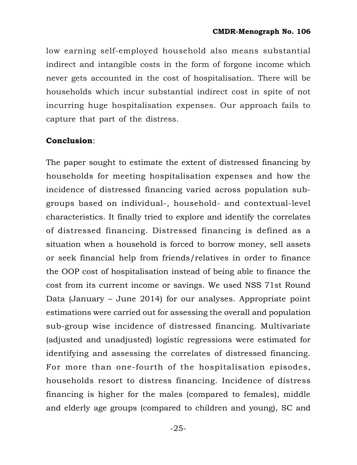low earning self-employed household also means substantial indirect and intangible costs in the form of forgone income which never gets accounted in the cost of hospitalisation. There will be households which incur substantial indirect cost in spite of not incurring huge hospitalisation expenses. Our approach fails to capture that part of the distress.

## **Conclusion**:

The paper sought to estimate the extent of distressed financing by households for meeting hospitalisation expenses and how the incidence of distressed financing varied across population subgroups based on individual-, household- and contextual-level characteristics. It finally tried to explore and identify the correlates of distressed financing. Distressed financing is defined as a situation when a household is forced to borrow money, sell assets or seek financial help from friends/relatives in order to finance the OOP cost of hospitalisation instead of being able to finance the cost from its current income or savings. We used NSS 71st Round Data (January – June 2014) for our analyses. Appropriate point estimations were carried out for assessing the overall and population sub-group wise incidence of distressed financing. Multivariate (adjusted and unadjusted) logistic regressions were estimated for identifying and assessing the correlates of distressed financing. For more than one-fourth of the hospitalisation episodes, households resort to distress financing. Incidence of distress financing is higher for the males (compared to females), middle and elderly age groups (compared to children and young), SC and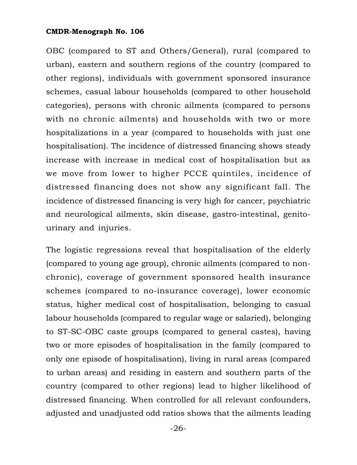OBC (compared to ST and Others/General), rural (compared to urban), eastern and southern regions of the country (compared to other regions), individuals with government sponsored insurance schemes, casual labour households (compared to other household categories), persons with chronic ailments (compared to persons with no chronic ailments) and households with two or more hospitalizations in a year (compared to households with just one hospitalisation). The incidence of distressed financing shows steady increase with increase in medical cost of hospitalisation but as we move from lower to higher PCCE quintiles, incidence of distressed financing does not show any significant fall. The incidence of distressed financing is very high for cancer, psychiatric and neurological ailments, skin disease, gastro-intestinal, genitourinary and injuries.

The logistic regressions reveal that hospitalisation of the elderly (compared to young age group), chronic ailments (compared to nonchronic), coverage of government sponsored health insurance schemes (compared to no-insurance coverage), lower economic status, higher medical cost of hospitalisation, belonging to casual labour households (compared to regular wage or salaried), belonging to ST-SC-OBC caste groups (compared to general castes), having two or more episodes of hospitalisation in the family (compared to only one episode of hospitalisation), living in rural areas (compared to urban areas) and residing in eastern and southern parts of the country (compared to other regions) lead to higher likelihood of distressed financing. When controlled for all relevant confounders, adjusted and unadjusted odd ratios shows that the ailments leading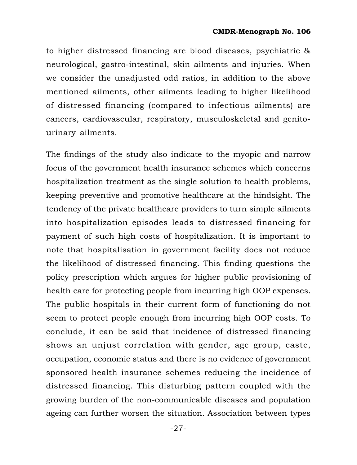to higher distressed financing are blood diseases, psychiatric & neurological, gastro-intestinal, skin ailments and injuries. When we consider the unadjusted odd ratios, in addition to the above mentioned ailments, other ailments leading to higher likelihood of distressed financing (compared to infectious ailments) are cancers, cardiovascular, respiratory, musculoskeletal and genitourinary ailments.

The findings of the study also indicate to the myopic and narrow focus of the government health insurance schemes which concerns hospitalization treatment as the single solution to health problems, keeping preventive and promotive healthcare at the hindsight. The tendency of the private healthcare providers to turn simple ailments into hospitalization episodes leads to distressed financing for payment of such high costs of hospitalization. It is important to note that hospitalisation in government facility does not reduce the likelihood of distressed financing. This finding questions the policy prescription which argues for higher public provisioning of health care for protecting people from incurring high OOP expenses. The public hospitals in their current form of functioning do not seem to protect people enough from incurring high OOP costs. To conclude, it can be said that incidence of distressed financing shows an unjust correlation with gender, age group, caste, occupation, economic status and there is no evidence of government sponsored health insurance schemes reducing the incidence of distressed financing. This disturbing pattern coupled with the growing burden of the non-communicable diseases and population ageing can further worsen the situation. Association between types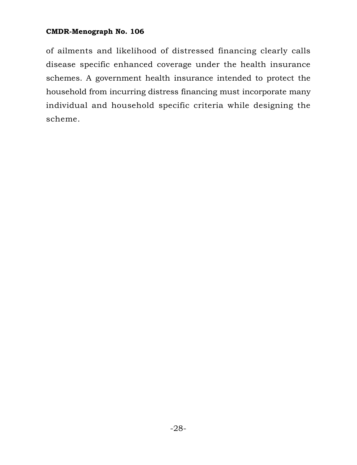of ailments and likelihood of distressed financing clearly calls disease specific enhanced coverage under the health insurance schemes. A government health insurance intended to protect the household from incurring distress financing must incorporate many individual and household specific criteria while designing the scheme.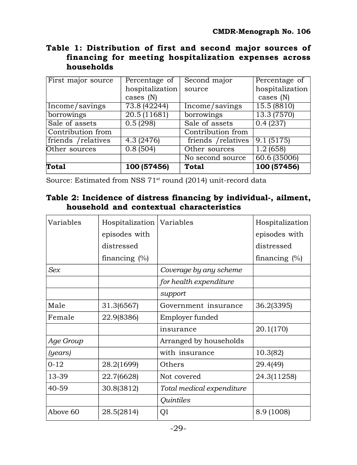## **Table 1: Distribution of first and second major sources of financing for meeting hospitalization expenses across households**

| First major source  | Percentage of   | Second major        | Percentage of             |
|---------------------|-----------------|---------------------|---------------------------|
|                     | hospitalization | source              | hospitalization           |
|                     | cases $(N)$     |                     | cases $(N)$               |
| Income/savings      | 73.8 (42244)    | Income/savings      | 15.5(8810)                |
| borrowings          | 20.5(11681)     | borrowings          | 13.3(7570)                |
| Sale of assets      | 0.5(298)        | Sale of assets      | 0.4(237)                  |
| Contribution from   |                 | Contribution from   |                           |
| friends / relatives | 4.3(2476)       | friends / relatives | 9.1(5175)                 |
| Other sources       | 0.8(504)        | Other sources       | 1.2(658)                  |
|                     |                 | No second source    | $\overline{60.6}$ (35006) |
| Total               | 100 (57456)     | <b>Total</b>        | 100 (57456)               |

Source: Estimated from NSS 71<sup>st</sup> round (2014) unit-record data

## **Table 2: Incidence of distress financing by individual-, ailment, household and contextual characteristics**

| Variables | Hospitalization  | Variables                 | Hospitalization  |
|-----------|------------------|---------------------------|------------------|
|           | episodes with    |                           | episodes with    |
|           | distressed       |                           | distressed       |
|           | financing $(\%)$ |                           | financing $(\%)$ |
| Sex       |                  | Coverage by any scheme    |                  |
|           |                  | for health expenditure    |                  |
|           |                  | support                   |                  |
| Male      | 31.3(6567)       | Government insurance      | 36.2(3395)       |
| Female    | 22.9(8386)       | Employer funded           |                  |
|           |                  | insurance                 | 20.1(170)        |
| Age Group |                  | Arranged by households    |                  |
| (years)   |                  | with insurance            | 10.3(82)         |
| $0 - 12$  | 28.2(1699)       | Others                    | 29.4(49)         |
| 13-39     | 22.7(6628)       | Not covered               | 24.3(11258)      |
| 40-59     | 30.8(3812)       | Total medical expenditure |                  |
|           |                  | Quintiles                 |                  |
| Above 60  | 28.5(2814)       | Q1                        | 8.9 (1008)       |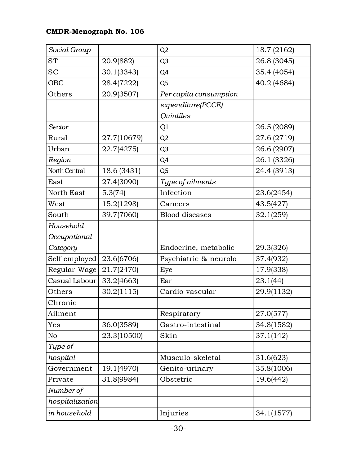| Social Group    |             | Q2                     | 18.7 (2162) |
|-----------------|-------------|------------------------|-------------|
| <b>ST</b>       | 20.9(882)   | Q <sub>3</sub>         | 26.8 (3045) |
| <b>SC</b>       | 30.1(3343)  | Q4                     | 35.4 (4054) |
| <b>OBC</b>      | 28.4(7222)  | Q5                     | 40.2 (4684) |
| Others          | 20.9(3507)  | Per capita consumption |             |
|                 |             | expenditure(PCCE)      |             |
|                 |             | <b>Quintiles</b>       |             |
| Sector          |             | Q1                     | 26.5 (2089) |
| Rural           | 27.7(10679) | Q <sub>2</sub>         | 27.6 (2719) |
| Urban           | 22.7(4275)  | Q <sub>3</sub>         | 26.6 (2907) |
| Region          |             | Q4                     | 26.1 (3326) |
| North Central   | 18.6 (3431) | Q <sub>5</sub>         | 24.4 (3913) |
| East            | 27.4(3090)  | Type of ailments       |             |
| North East      | 5.3(74)     | Infection              | 23.6(2454)  |
| West            | 15.2(1298)  | Cancers                | 43.5(427)   |
| South           | 39.7(7060)  | <b>Blood</b> diseases  | 32.1(259)   |
| Household       |             |                        |             |
| Occupational    |             |                        |             |
| Category        |             | Endocrine, metabolic   | 29.3(326)   |
|                 |             |                        |             |
| Self employed   | 23.6(6706)  | Psychiatric & neurolo  | 37.4(932)   |
| Regular Wage    | 21.7(2470)  | Eye                    | 17.9(338)   |
| Casual Labour   | 33.2(4663)  | Ear                    | 23.1(44)    |
| Others          | 30.2(1115)  | Cardio-vascular        | 29.9(1132)  |
| Chronic         |             |                        |             |
| Ailment         |             | Respiratory            | 27.0(577)   |
| Yes             | 36.0(3589)  | Gastro-intestinal      | 34.8(1582)  |
| No              | 23.3(10500) | Skin                   | 37.1(142)   |
| Type of         |             |                        |             |
| hospital        |             | Musculo-skeletal       | 31.6(623)   |
| Government      | 19.1(4970)  | Genito-urinary         | 35.8(1006)  |
| Private         | 31.8(9984)  | Obstetric              | 19.6(442)   |
| Number of       |             |                        |             |
| hospitalization |             |                        |             |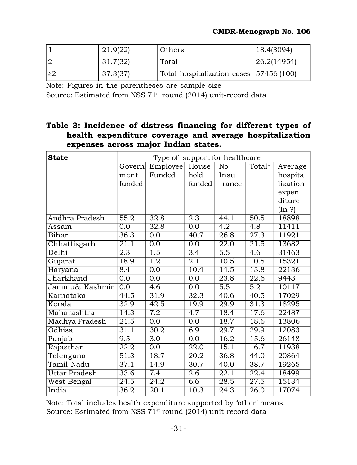|    | 21.9(22) | Others                                  | 18.4(3094)  |
|----|----------|-----------------------------------------|-------------|
|    | 31.7(32) | Total                                   | 26.2(14954) |
| >2 | 37.3(37) | Total hospitalization cases 57456 (100) |             |

Note: Figures in the parentheses are sample size

Source: Estimated from NSS 71<sup>st</sup> round (2014) unit-record data

## **Table 3: Incidence of distress financing for different types of health expenditure coverage and average hospitalization expenses across major Indian states.**

| <b>State</b>         |                   | Type of support for healthcare |                   |                   |                   |          |
|----------------------|-------------------|--------------------------------|-------------------|-------------------|-------------------|----------|
|                      | Governl           | Employee                       | House             | No                | Total*            | Average  |
|                      | ment              | Funded                         | hold              | Insu              |                   | hospita  |
|                      | funded            |                                | funded            | rance             |                   | lization |
|                      |                   |                                |                   |                   |                   | expen    |
|                      |                   |                                |                   |                   |                   | diture   |
|                      |                   |                                |                   |                   |                   | (In ?)   |
| Andhra Pradesh       | 55.2              | 32.8                           | 2.3               | 44.1              | 50.5              | 18898    |
| Assam                | 0.0               | 32.8                           | 0.0               | $\overline{4.2}$  | 4.8               | 11411    |
| Bihar                | $\overline{36.3}$ | 0.0                            | $\overline{40.7}$ | $\overline{26.8}$ | $\overline{27.3}$ | 11921    |
| Chhattisgarh         | $\overline{21.1}$ | $\overline{0.0}$               | $\overline{0.0}$  | $\overline{22.0}$ | $\overline{21.5}$ | 13682    |
| Delhi                | $\overline{2.3}$  | $\overline{1.5}$               | $\overline{3.4}$  | $\overline{5.5}$  | $\overline{4.6}$  | 31463    |
| Gujarat              | 18.9              | $\overline{1.2}$               | 2.1               | 10.5              | 10.5              | 15321    |
| Haryana              | $\overline{8.4}$  | $\overline{0.0}$               | 10.4              | 14.5              | 13.8              | 22136    |
| Jharkhand            | $\overline{0.0}$  | $\overline{0.0}$               | $\overline{0.0}$  | $\overline{23.8}$ | $\overline{22.6}$ | 9443     |
| Jammu& Kashmir       | 0.0               | 4.6                            | 0.0               | 5.5               | 5.2               | 10117    |
| Karnataka            | 44.5              | 31.9                           | 32.3              | 40.6              | 40.5              | 17029    |
| Kerala               | $\overline{32.9}$ | 42.5                           | 19.9              | $\overline{29.9}$ | 31.3              | 18295    |
| Maharashtra          | 14.3              | 7.2                            | 4.7               | 18.4              | 17.6              | 22487    |
| Madhya Pradesh       | $\overline{21.5}$ | $\overline{0.0}$               | $\overline{0.0}$  | 18.7              | 18.6              | 13806    |
| <b>Odhisa</b>        | 31.1              | 30.2                           | 6.9               | $\overline{29.7}$ | $\overline{29.9}$ | 12083    |
| Punjab               | 9.5               | 3.0                            | 0.0               | 16.2              | 15.6              | 26148    |
| Rajasthan            | $\overline{22.2}$ | $\overline{0.0}$               | $\overline{22.0}$ | 15.1              | 16.7              | 11938    |
| Telengana            | $\overline{51.3}$ | 18.7                           | 20.2              | 36.8              | 44.0              | 20864    |
| <b>Tamil Nadu</b>    | 37.1              | 14.9                           | $\overline{30.7}$ | 40.0              | 38.7              | 19265    |
| <b>Uttar Pradesh</b> | 33.6              | 7.4                            | $\overline{2.6}$  | $\overline{22.1}$ | $\overline{22.4}$ | 18499    |
| West Bengal          | $\overline{24.5}$ | 24.2                           | 6.6               | 28.5              | $\overline{27.5}$ | 15134    |
| India                | $\overline{36.2}$ | 20.1                           | 10.3              | 24.3              | $\overline{26.0}$ | 17074    |

Note: Total includes health expenditure supported by 'other' means. Source: Estimated from NSS 71<sup>st</sup> round (2014) unit-record data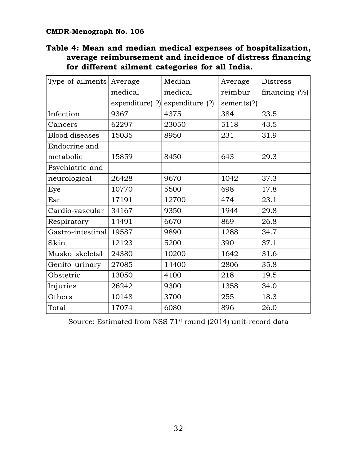## **Table 4: Mean and median medical expenses of hospitalization, average reimbursement and incidence of distress financing for different ailment categories for all India.**

| Type of ailments      | Average | Median                               | Average    | Distress         |
|-----------------------|---------|--------------------------------------|------------|------------------|
|                       | medical | medical                              | reimbur    | financing $(\%)$ |
|                       |         | expenditure( $?$ ) expenditure $(?)$ | sements(?) |                  |
| Infection             | 9367    | 4375                                 | 384        | 23.5             |
| Cancers               | 62297   | 23050                                | 5118       | 43.5             |
| <b>Blood diseases</b> | 15035   | 8950                                 | 231        | 31.9             |
| Endocrine and         |         |                                      |            |                  |
| metabolic             | 15859   | 8450                                 | 643        | 29.3             |
| Psychiatric and       |         |                                      |            |                  |
| neurological          | 26428   | 9670                                 | 1042       | 37.3             |
| Eye                   | 10770   | 5500                                 | 698        | 17.8             |
| Ear                   | 17191   | 12700                                | 474        | 23.1             |
| Cardio-vascular       | 34167   | 9350                                 | 1944       | 29.8             |
| Respiratory           | 14491   | 6670                                 | 869        | 26.8             |
| Gastro-intestinal     | 19587   | 9890                                 | 1288       | 34.7             |
| Skin                  | 12123   | 5200                                 | 390        | 37.1             |
| Musko skeletal        | 24380   | 10200                                | 1642       | 31.6             |
| Genito urinary        | 27085   | 14400                                | 2806       | 35.8             |
| Obstetric             | 13050   | 4100                                 | 218        | 19.5             |
| Injuries              | 26242   | 9300                                 | 1358       | 34.0             |
| Others                | 10148   | 3700                                 | 255        | 18.3             |
| Total                 | 17074   | 6080                                 | 896        | 26.0             |

Source: Estimated from NSS 71<sup>st</sup> round (2014) unit-record data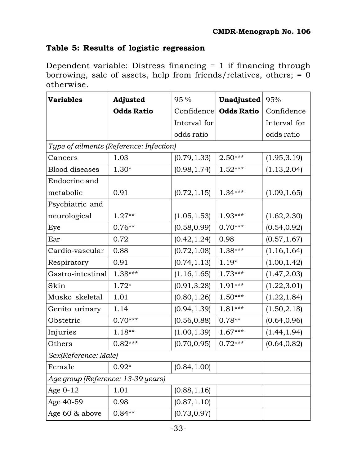## **Table 5: Results of logistic regression**

Dependent variable: Distress financing = 1 if financing through borrowing, sale of assets, help from friends/relatives, others; = 0 otherwise.

| <b>Variables</b>                   | Adjusted                                | 95%          | Unadjusted        | 95%          |  |  |
|------------------------------------|-----------------------------------------|--------------|-------------------|--------------|--|--|
|                                    | <b>Odds Ratio</b>                       | Confidence   | <b>Odds Ratio</b> | Confidence   |  |  |
|                                    |                                         | Interval for |                   | Interval for |  |  |
|                                    |                                         | odds ratio   |                   | odds ratio   |  |  |
|                                    | Type of ailments (Reference: Infection) |              |                   |              |  |  |
| Cancers                            | 1.03                                    | (0.79, 1.33) | 2.50***           | (1.95, 3.19) |  |  |
| <b>Blood</b> diseases              | $1.30*$                                 | (0.98, 1.74) | $1.52***$         | (1.13, 2.04) |  |  |
| Endocrine and                      |                                         |              |                   |              |  |  |
| metabolic                          | 0.91                                    | (0.72, 1.15) | $1.34***$         | (1.09, 1.65) |  |  |
| Psychiatric and                    |                                         |              |                   |              |  |  |
| neurological                       | $1.27**$                                | (1.05, 1.53) | 1.93***           | (1.62, 2.30) |  |  |
| Eye                                | $0.76**$                                | (0.58, 0.99) | $0.70***$         | (0.54, 0.92) |  |  |
| Ear                                | 0.72                                    | (0.42, 1.24) | 0.98              | (0.57, 1.67) |  |  |
| Cardio-vascular                    | 0.88                                    | (0.72, 1.08) | 1.38***           | (1.16, 1.64) |  |  |
| Respiratory                        | 0.91                                    | (0.74, 1.13) | $1.19*$           | (1.00, 1.42) |  |  |
| Gastro-intestinal                  | 1.38***                                 | (1.16, 1.65) | 1.73***           | (1.47, 2.03) |  |  |
| Skin                               | $1.72*$                                 | (0.91, 3.28) | 1.91***           | (1.22, 3.01) |  |  |
| Musko skeletal                     | 1.01                                    | (0.80, 1.26) | $1.50***$         | (1.22, 1.84) |  |  |
| Genito urinary                     | 1.14                                    | (0.94, 1.39) | 1.81***           | (1.50, 2.18) |  |  |
| Obstetric                          | $0.70***$                               | (0.56, 0.88) | $0.78**$          | (0.64, 0.96) |  |  |
| Injuries                           | 1.18**                                  | (1.00, 1.39) | $1.67***$         | (1.44, 1.94) |  |  |
| Others                             | $0.82***$                               | (0.70, 0.95) | $0.72***$         | (0.64, 0.82) |  |  |
| Sex(Reference: Male)               |                                         |              |                   |              |  |  |
| Female                             | $0.92*$                                 | (0.84, 1.00) |                   |              |  |  |
| Age group (Reference: 13-39 years) |                                         |              |                   |              |  |  |
| Age $0-12$                         | 1.01                                    | (0.88, 1.16) |                   |              |  |  |
| Age 40-59                          | 0.98                                    | (0.87, 1.10) |                   |              |  |  |
| Age 60 & above                     | $0.84**$                                | (0.73, 0.97) |                   |              |  |  |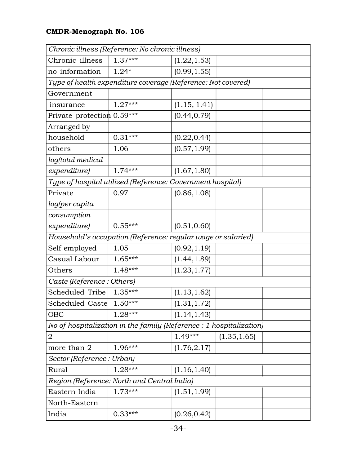|                            | Chronic illness (Reference: No chronic illness)                    |              |              |  |
|----------------------------|--------------------------------------------------------------------|--------------|--------------|--|
| Chronic illness            | $1.37***$                                                          | (1.22, 1.53) |              |  |
| no information             | $1.24*$                                                            | (0.99, 1.55) |              |  |
|                            | Type of health expenditure coverage (Reference: Not covered)       |              |              |  |
| Government                 |                                                                    |              |              |  |
| insurance                  | $1.27***$                                                          | (1.15, 1.41) |              |  |
| Private protection 0.59*** |                                                                    | (0.44, 0.79) |              |  |
| Arranged by                |                                                                    |              |              |  |
| household                  | $0.31***$                                                          | (0.22, 0.44) |              |  |
| others                     | 1.06                                                               | (0.57, 1.99) |              |  |
| log(total medical          |                                                                    |              |              |  |
| expenditure)               | $1.74***$                                                          | (1.67, 1.80) |              |  |
|                            | Type of hospital utilized (Reference: Government hospital)         |              |              |  |
| Private                    | 0.97                                                               | (0.86, 1.08) |              |  |
| log(per capita             |                                                                    |              |              |  |
| consumption                |                                                                    |              |              |  |
| expenditure)               | $0.55***$                                                          | (0.51, 0.60) |              |  |
|                            | Household's occupation (Reference: regular wage or salaried)       |              |              |  |
| Self employed              | 1.05                                                               | (0.92, 1.19) |              |  |
| Casual Labour              | 1.65***                                                            | (1.44, 1.89) |              |  |
| Others                     | 1.48***                                                            | (1.23, 1.77) |              |  |
| Caste (Reference: Others)  |                                                                    |              |              |  |
| Scheduled Tribe            | $1.35***$                                                          | (1.13, 1.62) |              |  |
| Scheduled Caste            | $1.50***$                                                          | (1.31, 1.72) |              |  |
| <b>OBC</b>                 | $1.28***$                                                          | (1.14, 1.43) |              |  |
|                            | No of hospitalization in the family (Reference: 1 hospitalization) |              |              |  |
| 2                          |                                                                    | $1.49***$    | (1.35, 1.65) |  |
| more than 2                | 1.96***                                                            | (1.76, 2.17) |              |  |
| Sector (Reference: Urban)  |                                                                    |              |              |  |
| Rural                      | 1.28***                                                            | (1.16, 1.40) |              |  |
|                            | Region (Reference: North and Central India)                        |              |              |  |
| Eastern India              | $1.73***$                                                          | (1.51, 1.99) |              |  |
| North-Eastern              |                                                                    |              |              |  |
| India                      | $0.33***$                                                          | (0.26, 0.42) |              |  |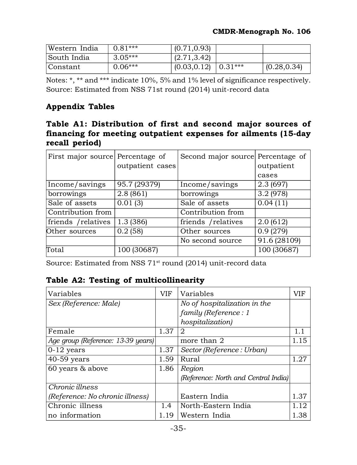| Western India | $0.81***$ | (0.71, 0.93)           |              |
|---------------|-----------|------------------------|--------------|
| South India   | $3.05***$ | (2.71, 3.42)           |              |
| Constant      | $0.06***$ | $(0.03, 0.12)$ 0.31*** | (0.28, 0.34) |

Notes: \*, \*\* and \*\*\* indicate 10%, 5% and 1% level of significance respectively. Source: Estimated from NSS 71st round (2014) unit-record data

## **Appendix Tables**

## **Table A1: Distribution of first and second major sources of financing for meeting outpatient expenses for ailments (15-day recall period)**

| First major source Percentage of | outpatient cases | Second major source Percentage of | outpatient<br>cases |
|----------------------------------|------------------|-----------------------------------|---------------------|
| Income/savings                   | 95.7 (29379)     | Income/savings                    | 2.3(697)            |
| borrowings                       | 2.8(861)         | borrowings                        | 3.2(978)            |
| Sale of assets                   | 0.01(3)          | Sale of assets                    | 0.04(11)            |
| Contribution from                |                  | Contribution from                 |                     |
| friends / relatives              | 1.3 (386)        | friends / relatives               | 2.0(612)            |
| Other sources                    | 0.2(58)          | Other sources                     | 0.9(279)            |
|                                  |                  | No second source                  | 91.6 (28109)        |
| Total                            | 100 (30687)      |                                   | 100 (30687)         |

Source: Estimated from NSS 71<sup>st</sup> round (2014) unit-record data

## **Table A2: Testing of multicollinearity**

| Variables                          | VIF  | Variables                            | VIF  |
|------------------------------------|------|--------------------------------------|------|
| Sex (Reference: Male)              |      | No of hospitalization in the         |      |
|                                    |      | family (Reference: 1                 |      |
|                                    |      | hospitalization)                     |      |
| Female                             | 1.37 | 2                                    | 1.1  |
| Age group (Reference: 13-39 years) |      | more than 2                          | 1.15 |
| $0-12$ years                       | 1.37 | Sector (Reference: Urban)            |      |
| $40-59$ years                      | 1.59 | Rural                                | 1.27 |
| 60 years & above                   | 1.86 | Region                               |      |
|                                    |      | (Reference: North and Central India) |      |
| Chronic illness                    |      |                                      |      |
| (Reference: No chronic illness)    |      | Eastern India                        | 1.37 |
| Chronic illness                    | 1.4  | North-Eastern India                  | 1.12 |
| no information                     | 1.19 | Western India                        | 1.38 |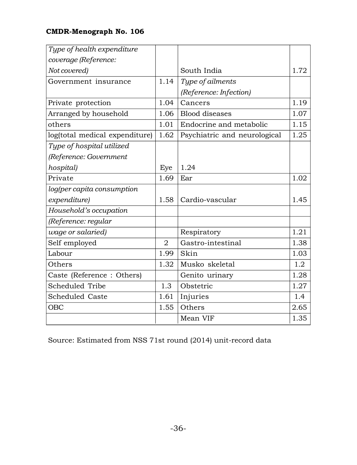| Type of health expenditure     |                |                              |      |
|--------------------------------|----------------|------------------------------|------|
| coverage (Reference:           |                |                              |      |
| Not covered)                   |                | South India                  | 1.72 |
| Government insurance           | 1.14           | Type of ailments             |      |
|                                |                | (Reference: Infection)       |      |
| Private protection             | 1.04           | Cancers                      | 1.19 |
| Arranged by household          | 1.06           | <b>Blood</b> diseases        | 1.07 |
| others                         | 1.01           | Endocrine and metabolic      | 1.15 |
| log(total medical expenditure) | 1.62           | Psychiatric and neurological | 1.25 |
| Type of hospital utilized      |                |                              |      |
| (Reference: Government         |                |                              |      |
| hospital)                      | Eye            | 1.24                         |      |
| Private                        | 1.69           | Ear                          | 1.02 |
| log(per capita consumption     |                |                              |      |
| expenditure)                   | 1.58           | Cardio-vascular              | 1.45 |
| Household's occupation         |                |                              |      |
| (Reference: regular            |                |                              |      |
| wage or salaried)              |                | Respiratory                  | 1.21 |
| Self employed                  | $\mathfrak{D}$ | Gastro-intestinal            | 1.38 |
| Labour                         | 1.99           | Skin                         | 1.03 |
| Others                         | 1.32           | Musko skeletal               | 1.2  |
| Caste (Reference: Others)      |                | Genito urinary               | 1.28 |
| Scheduled Tribe                | 1.3            | Obstetric                    | 1.27 |
| Scheduled Caste                | 1.61           | Injuries                     | 1.4  |
| <b>OBC</b>                     | 1.55           | Others                       | 2.65 |
|                                |                | Mean VIF                     | 1.35 |

Source: Estimated from NSS 71st round (2014) unit-record data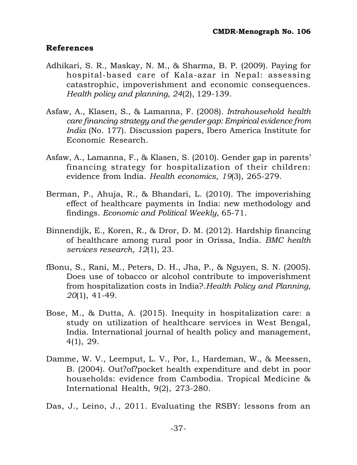#### **References**

- Adhikari, S. R., Maskay, N. M., & Sharma, B. P. (2009). Paying for hospital-based care of Kala-azar in Nepal: assessing catastrophic, impoverishment and economic consequences. *Health policy and planning*, *24*(2), 129-139.
- Asfaw, A., Klasen, S., & Lamanna, F. (2008). *Intrahousehold health care financing strategy and the gender gap: Empirical evidence from India* (No. 177). Discussion papers, Ibero America Institute for Economic Research.
- Asfaw, A., Lamanna, F., & Klasen, S. (2010). Gender gap in parents' financing strategy for hospitalization of their children: evidence from India. *Health economics*, *19*(3), 265-279.
- Berman, P., Ahuja, R., & Bhandari, L. (2010). The impoverishing effect of healthcare payments in India: new methodology and findings. *Economic and Political Weekly*, 65-71.
- Binnendijk, E., Koren, R., & Dror, D. M. (2012). Hardship financing of healthcare among rural poor in Orissa, India. *BMC health services research*, *12*(1), 23.
- fBonu, S., Rani, M., Peters, D. H., Jha, P., & Nguyen, S. N. (2005). Does use of tobacco or alcohol contribute to impoverishment from hospitalization costs in India?.*Health Policy and Planning*, *20*(1), 41-49.
- Bose, M., & Dutta, A. (2015). Inequity in hospitalization care: a study on utilization of healthcare services in West Bengal, India. International journal of health policy and management, 4(1), 29.
- Damme, W. V., Leemput, L. V., Por, I., Hardeman, W., & Meessen, B. (2004). Out?of?pocket health expenditure and debt in poor households: evidence from Cambodia. Tropical Medicine & International Health, 9(2), 273-280.
- Das, J., Leino, J., 2011. Evaluating the RSBY: lessons from an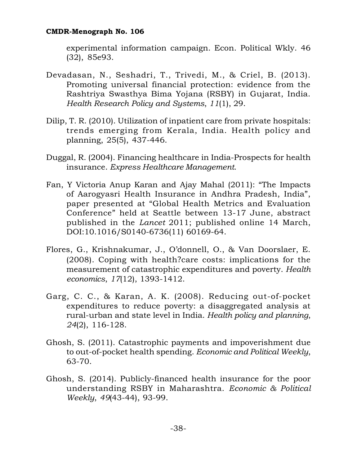experimental information campaign. Econ. Political Wkly. 46 (32), 85e93.

- Devadasan, N., Seshadri, T., Trivedi, M., & Criel, B. (2013). Promoting universal financial protection: evidence from the Rashtriya Swasthya Bima Yojana (RSBY) in Gujarat, India. *Health Research Policy and Systems*, *11*(1), 29.
- Dilip, T. R. (2010). Utilization of inpatient care from private hospitals: trends emerging from Kerala, India. Health policy and planning, 25(5), 437-446.
- Duggal, R. (2004). Financing healthcare in India-Prospects for health insurance. *Express Healthcare Management*.
- Fan, Y Victoria Anup Karan and Ajay Mahal (2011): "The Impacts of Aarogyasri Health Insurance in Andhra Pradesh, India", paper presented at "Global Health Metrics and Evaluation Conference" held at Seattle between 13-17 June, abstract published in the *Lancet* 2011; published online 14 March, DOI:10.1016/S0140-6736(11) 60169-64.
- Flores, G., Krishnakumar, J., O'donnell, O., & Van Doorslaer, E. (2008). Coping with health?care costs: implications for the measurement of catastrophic expenditures and poverty. *Health economics*, *17*(12), 1393-1412.
- Garg, C. C., & Karan, A. K. (2008). Reducing out-of-pocket expenditures to reduce poverty: a disaggregated analysis at rural-urban and state level in India. *Health policy and planning*, *24*(2), 116-128.
- Ghosh, S. (2011). Catastrophic payments and impoverishment due to out-of-pocket health spending. *Economic and Political Weekly*, 63-70.
- Ghosh, S. (2014). Publicly-financed health insurance for the poor understanding RSBY in Maharashtra. *Economic & Political Weekly*, *49*(43-44), 93-99.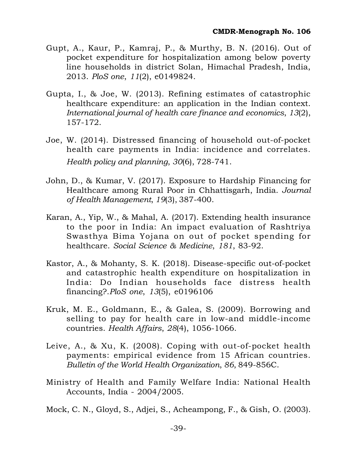- Gupt, A., Kaur, P., Kamraj, P., & Murthy, B. N. (2016). Out of pocket expenditure for hospitalization among below poverty line households in district Solan, Himachal Pradesh, India, 2013. *PloS one*, *11*(2), e0149824.
- Gupta, I., & Joe, W. (2013). Refining estimates of catastrophic healthcare expenditure: an application in the Indian context. *International journal of health care finance and economics*, *13*(2), 157-172.
- Joe, W. (2014). Distressed financing of household out-of-pocket health care payments in India: incidence and correlates. *Health policy and planning*, *30*(6), 728-741.
- John, D., & Kumar, V. (2017). Exposure to Hardship Financing for Healthcare among Rural Poor in Chhattisgarh, India. *Journal of Health Management*, *19*(3), 387-400.
- Karan, A., Yip, W., & Mahal, A. (2017). Extending health insurance to the poor in India: An impact evaluation of Rashtriya Swasthya Bima Yojana on out of pocket spending for healthcare. *Social Science & Medicine*, *181*, 83-92.
- Kastor, A., & Mohanty, S. K. (2018). Disease-specific out-of-pocket and catastrophic health expenditure on hospitalization in India: Do Indian households face distress health financing?.*PloS one*, *13*(5), e0196106
- Kruk, M. E., Goldmann, E., & Galea, S. (2009). Borrowing and selling to pay for health care in low-and middle-income countries. *Health Affairs*, *28*(4), 1056-1066.
- Leive, A., & Xu, K. (2008). Coping with out-of-pocket health payments: empirical evidence from 15 African countries. *Bulletin of the World Health Organization*, *86*, 849-856C.
- Ministry of Health and Family Welfare India: National Health Accounts, India - 2004/2005.
- Mock, C. N., Gloyd, S., Adjei, S., Acheampong, F., & Gish, O. (2003).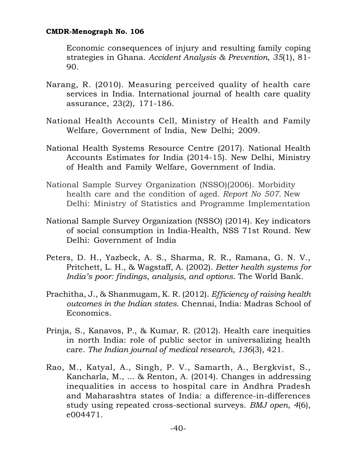Economic consequences of injury and resulting family coping strategies in Ghana. *Accident Analysis & Prevention*, *35*(1), 81- 90.

- Narang, R. (2010). Measuring perceived quality of health care services in India. International journal of health care quality assurance, 23(2), 171-186.
- National Health Accounts Cell, Ministry of Health and Family Welfare, Government of India, New Delhi; 2009.
- National Health Systems Resource Centre (2017). National Health Accounts Estimates for India (2014-15). New Delhi, Ministry of Health and Family Welfare, Government of India.
- National Sample Survey Organization (NSSO)(2006). Morbidity health care and the condition of aged. *Report No 507.* New Delhi: Ministry of Statistics and Programme Implementation
- National Sample Survey Organization (NSSO) (2014). Key indicators of social consumption in India-Health, NSS 71st Round. New Delhi: Government of India
- Peters, D. H., Yazbeck, A. S., Sharma, R. R., Ramana, G. N. V., Pritchett, L. H., & Wagstaff, A. (2002). *Better health systems for India's poor: findings, analysis, and options*. The World Bank.
- Prachitha, J., & Shanmugam, K. R. (2012). *Efficiency of raising health outcomes in the Indian states*. Chennai, India: Madras School of Economics.
- Prinja, S., Kanavos, P., & Kumar, R. (2012). Health care inequities in north India: role of public sector in universalizing health care. *The Indian journal of medical research*, *136*(3), 421.
- Rao, M., Katyal, A., Singh, P. V., Samarth, A., Bergkvist, S., Kancharla, M., ... & Renton, A. (2014). Changes in addressing inequalities in access to hospital care in Andhra Pradesh and Maharashtra states of India: a difference-in-differences study using repeated cross-sectional surveys. *BMJ open*, *4*(6), e004471.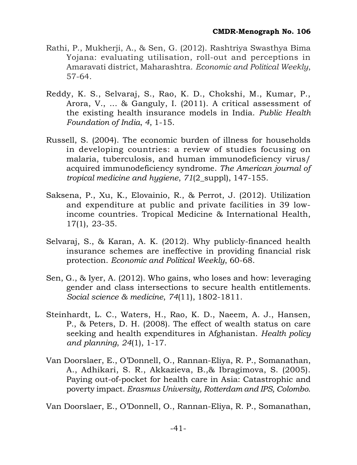- Rathi, P., Mukherji, A., & Sen, G. (2012). Rashtriya Swasthya Bima Yojana: evaluating utilisation, roll-out and perceptions in Amaravati district, Maharashtra. *Economic and Political Weekly*, 57-64.
- Reddy, K. S., Selvaraj, S., Rao, K. D., Chokshi, M., Kumar, P., Arora, V., ... & Ganguly, I. (2011). A critical assessment of the existing health insurance models in India. *Public Health Foundation of India*, *4*, 1-15.
- Russell, S. (2004). The economic burden of illness for households in developing countries: a review of studies focusing on malaria, tuberculosis, and human immunodeficiency virus/ acquired immunodeficiency syndrome. *The American journal of tropical medicine and hygiene*, *71*(2\_suppl), 147-155.
- Saksena, P., Xu, K., Elovainio, R., & Perrot, J. (2012). Utilization and expenditure at public and private facilities in 39 lowincome countries. Tropical Medicine & International Health, 17(1), 23-35.
- Selvaraj, S., & Karan, A. K. (2012). Why publicly-financed health insurance schemes are ineffective in providing financial risk protection. *Economic and Political Weekly*, 60-68.
- Sen, G., & Iyer, A. (2012). Who gains, who loses and how: leveraging gender and class intersections to secure health entitlements. *Social science & medicine*, *74*(11), 1802-1811.
- Steinhardt, L. C., Waters, H., Rao, K. D., Naeem, A. J., Hansen, P., & Peters, D. H. (2008). The effect of wealth status on care seeking and health expenditures in Afghanistan. *Health policy and planning*, *24*(1), 1-17.
- Van Doorslaer, E., O'Donnell, O., Rannan-Eliya, R. P., Somanathan, A., Adhikari, S. R., Akkazieva, B.,& Ibragimova, S. (2005). Paying out-of-pocket for health care in Asia: Catastrophic and poverty impact. *Erasmus University, Rotterdam and IPS, Colombo*.

Van Doorslaer, E., O'Donnell, O., Rannan-Eliya, R. P., Somanathan,